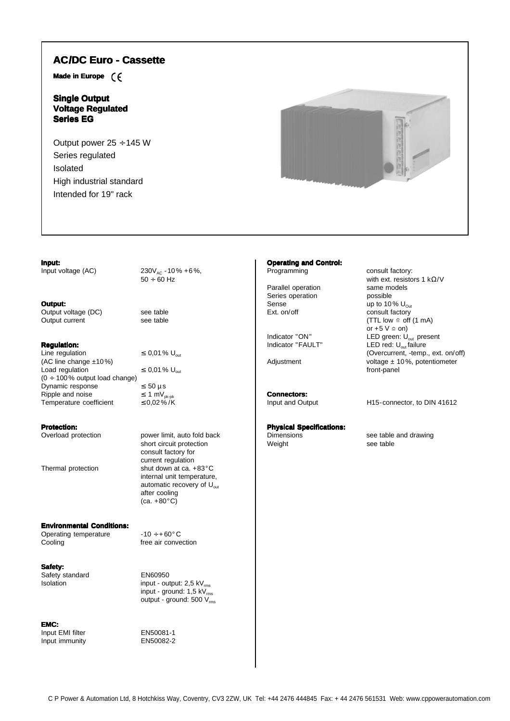## **AC/DC Euro - Cassette**

**Made in Europe**

## **Single Output Voltage Regulated Series EG**

Output power 25 ÷ 145 W Series regulated Isolated High industrial standard Intended for 19" rack



#### **Input:**

Input voltage (AC)  $230V_{AC} - 10\% + 6\%,$  $50 \div 60$  Hz

#### **Output:**

Output voltage (DC) see table Output current see table

### **Regulation:**

Line regulation  $\leq 0.01\%$  U<sub>out</sub> (AC line change ±10 %) Load regulation  $\leq 0.01\%$  U<sub>out</sub>  $(0 \div 100\%$  output load change) Dynamic response  $\leq 50 \mu s$ <br>
Ripple and noise  $\leq 1 \text{ mV}_{p_{k-p}}$ Ripple and noise  $\leq 1 \text{ mV}_{\text{pk-pk}}$ <br>Temperature coefficient  $\leq 0.02\% / K$ Temperature coefficient

**Protection:**<br>Overload protection

power limit, auto fold back short circuit protection consult factory for current regulation Thermal protection shut down at ca. +83°C internal unit temperature, automatic recovery of  $U_{\text{out}}$ after cooling  $(ca. +80°C)$ 

#### **Environmental Conditions:**

Operating temperature  $-10 \div 60^\circ \text{C}$ <br>Cooling free air conve

**Safety:** Safety standard EN60950

 $I$ solation input - output: 2,5 kV $_{rms}$  $input - ground: 1,5 kV<sub>rms</sub>$ output - ground:  $500 V_{rms}$ 

free air convection

**EMC:** Input EMI filter EN50081-1<br>Input immunity EN50082-2 Input immunity

## **Operating and Control:**

Series operation Sense  $\frac{1}{2}$  up to 10 % U<sub>Out</sub><br>Ext. on/off consult factory

**Connectors:**

# **Physical Specifications:**

Programming consult factory: with ext. resistors 1 kΩ/V Parallel operation same models<br>
Series operation<br>
Series operation consult factory (TTL low  $\cong$  off (1 mA) or  $+5$  V  $\cong$  on) Indicator "ON" LED green: U<sub>out</sub> present<br>
Indicator "FAULT" LED red: U<sub>out</sub> failure LED red:  $U_{\text{out}}$  failure (Overcurrent, -temp., ext. on/off) Adjustment voltage ± 10%, potentiometer front-panel

Input and Output H15-connector, to DIN 41612

Dimensions see table and drawing<br>
Weight see table see table